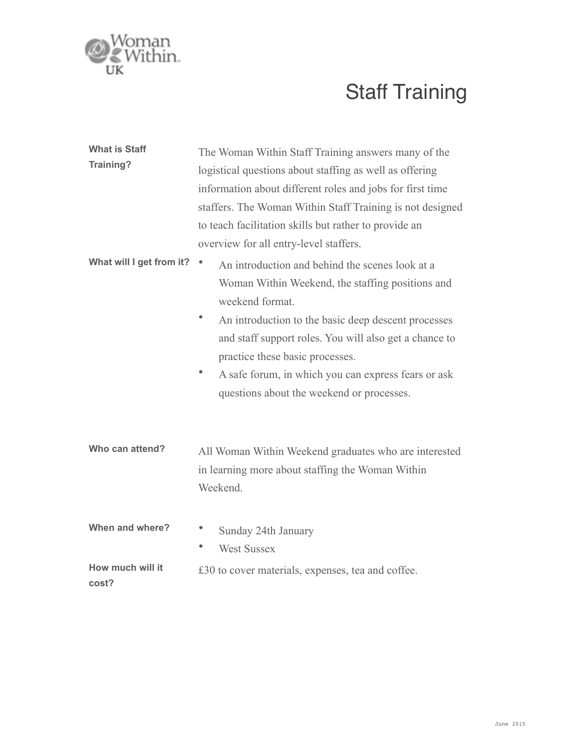

## Staff Training

| <b>What is Staff</b><br>Training? | The Woman Within Staff Training answers many of the<br>logistical questions about staffing as well as offering<br>information about different roles and jobs for first time<br>staffers. The Woman Within Staff Training is not designed<br>to teach facilitation skills but rather to provide an<br>overview for all entry-level staffers.                                         |
|-----------------------------------|-------------------------------------------------------------------------------------------------------------------------------------------------------------------------------------------------------------------------------------------------------------------------------------------------------------------------------------------------------------------------------------|
| What will I get from it?          | ۰<br>An introduction and behind the scenes look at a<br>Woman Within Weekend, the staffing positions and<br>weekend format.<br>An introduction to the basic deep descent processes<br>and staff support roles. You will also get a chance to<br>practice these basic processes.<br>A safe forum, in which you can express fears or ask<br>questions about the weekend or processes. |
| Who can attend?                   | All Woman Within Weekend graduates who are interested<br>in learning more about staffing the Woman Within<br>Weekend.                                                                                                                                                                                                                                                               |
| When and where?                   | Sunday 24th January<br>۰<br><b>West Sussex</b>                                                                                                                                                                                                                                                                                                                                      |
| How much will it<br>cost?         | £30 to cover materials, expenses, tea and coffee.                                                                                                                                                                                                                                                                                                                                   |